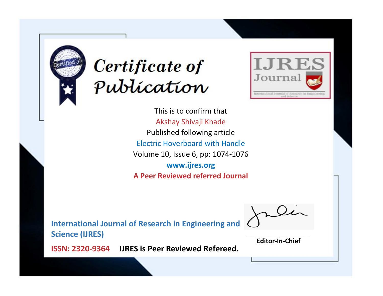



This is to confirm that Akshay Shivaji Khade Published following article Electric Hoverboard with Handle Volume 10, Issue 6, pp: 1074-1076 **www.ijres.org A Peer Reviewed referred Journal**

**International Journal of Research in Engineering and Science (IJRES)**

\_\_\_\_\_\_\_\_\_\_\_\_\_\_\_\_\_\_\_\_\_\_\_\_ **Editor-In-Chief**

**Journal.**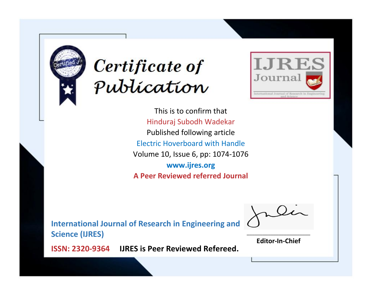



This is to confirm that Hinduraj Subodh Wadekar Published following article Electric Hoverboard with Handle Volume 10, Issue 6, pp: 1074-1076 **www.ijres.org A Peer Reviewed referred Journal**

**International Journal of Research in Engineering and Science (IJRES)**

\_\_\_\_\_\_\_\_\_\_\_\_\_\_\_\_\_\_\_\_\_\_\_\_ **Editor-In-Chief**

**Journal.**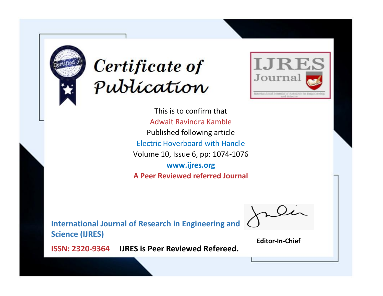



This is to confirm that Adwait Ravindra Kamble Published following article Electric Hoverboard with Handle Volume 10, Issue 6, pp: 1074-1076 **www.ijres.org A Peer Reviewed referred Journal**

**International Journal of Research in Engineering and Science (IJRES)**

\_\_\_\_\_\_\_\_\_\_\_\_\_\_\_\_\_\_\_\_\_\_\_\_ **Editor-In-Chief**

**Journal.**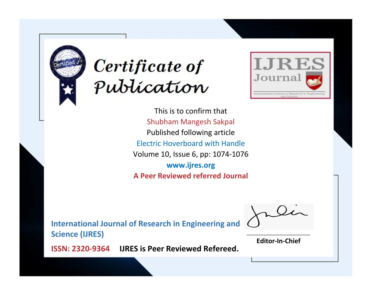



This is to confirm that Shubham Mangesh Sakpal Published following article Electric Hoverboard with Handle Volume 10, Issue 6, pp: 1074-1076 **www.ijres.org A Peer Reviewed referred Journal**

**International Journal of Research in Engineering and Science (IJRES)**

\_\_\_\_\_\_\_\_\_\_\_\_\_\_\_\_\_\_\_\_\_\_\_\_ **Editor-In-Chief**

**Journal.**